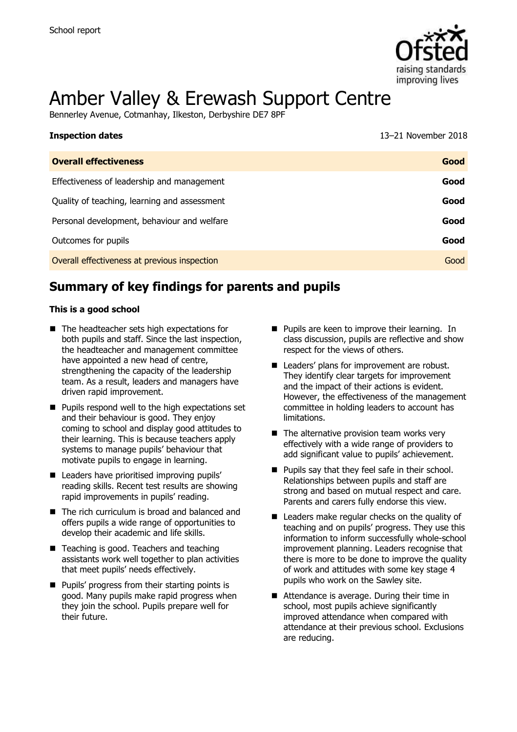

# Amber Valley & Erewash Support Centre

Bennerley Avenue, Cotmanhay, Ilkeston, Derbyshire DE7 8PF

| <b>Inspection dates</b>                      | 13-21 November 2018 |
|----------------------------------------------|---------------------|
| <b>Overall effectiveness</b>                 | Good                |
| Effectiveness of leadership and management   | Good                |
| Quality of teaching, learning and assessment | Good                |
| Personal development, behaviour and welfare  | Good                |
| Outcomes for pupils                          | Good                |
| Overall effectiveness at previous inspection | Good                |

# **Summary of key findings for parents and pupils**

#### **This is a good school**

- The headteacher sets high expectations for both pupils and staff. Since the last inspection, the headteacher and management committee have appointed a new head of centre, strengthening the capacity of the leadership team. As a result, leaders and managers have driven rapid improvement.
- $\blacksquare$  Pupils respond well to the high expectations set and their behaviour is good. They enjoy coming to school and display good attitudes to their learning. This is because teachers apply systems to manage pupils' behaviour that motivate pupils to engage in learning.
- Leaders have prioritised improving pupils' reading skills. Recent test results are showing rapid improvements in pupils' reading.
- The rich curriculum is broad and balanced and offers pupils a wide range of opportunities to develop their academic and life skills.
- Teaching is good. Teachers and teaching assistants work well together to plan activities that meet pupils' needs effectively.
- **Pupils' progress from their starting points is** good. Many pupils make rapid progress when they join the school. Pupils prepare well for their future.
- **Pupils are keen to improve their learning. In** class discussion, pupils are reflective and show respect for the views of others.
- Leaders' plans for improvement are robust. They identify clear targets for improvement and the impact of their actions is evident. However, the effectiveness of the management committee in holding leaders to account has limitations.
- $\blacksquare$  The alternative provision team works very effectively with a wide range of providers to add significant value to pupils' achievement.
- **Pupils say that they feel safe in their school.** Relationships between pupils and staff are strong and based on mutual respect and care. Parents and carers fully endorse this view.
- Leaders make regular checks on the quality of teaching and on pupils' progress. They use this information to inform successfully whole-school improvement planning. Leaders recognise that there is more to be done to improve the quality of work and attitudes with some key stage 4 pupils who work on the Sawley site.
- Attendance is average. During their time in school, most pupils achieve significantly improved attendance when compared with attendance at their previous school. Exclusions are reducing.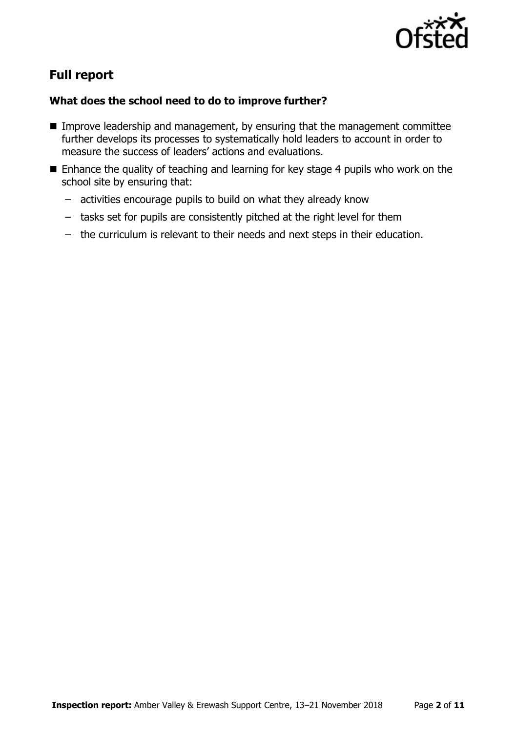

# **Full report**

### **What does the school need to do to improve further?**

- Improve leadership and management, by ensuring that the management committee further develops its processes to systematically hold leaders to account in order to measure the success of leaders' actions and evaluations.
- $\blacksquare$  Enhance the quality of teaching and learning for key stage 4 pupils who work on the school site by ensuring that:
	- activities encourage pupils to build on what they already know
	- tasks set for pupils are consistently pitched at the right level for them
	- the curriculum is relevant to their needs and next steps in their education.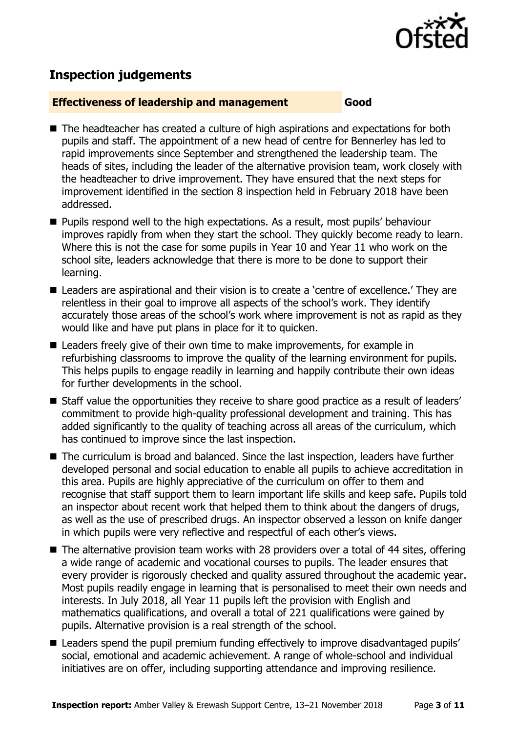

# **Inspection judgements**

#### **Effectiveness of leadership and management Good**

- The headteacher has created a culture of high aspirations and expectations for both pupils and staff. The appointment of a new head of centre for Bennerley has led to rapid improvements since September and strengthened the leadership team. The heads of sites, including the leader of the alternative provision team, work closely with the headteacher to drive improvement. They have ensured that the next steps for improvement identified in the section 8 inspection held in February 2018 have been addressed.
- **Pupils respond well to the high expectations. As a result, most pupils' behaviour** improves rapidly from when they start the school. They quickly become ready to learn. Where this is not the case for some pupils in Year 10 and Year 11 who work on the school site, leaders acknowledge that there is more to be done to support their learning.
- Leaders are aspirational and their vision is to create a 'centre of excellence.' They are relentless in their goal to improve all aspects of the school's work. They identify accurately those areas of the school's work where improvement is not as rapid as they would like and have put plans in place for it to quicken.
- Leaders freely give of their own time to make improvements, for example in refurbishing classrooms to improve the quality of the learning environment for pupils. This helps pupils to engage readily in learning and happily contribute their own ideas for further developments in the school.
- Staff value the opportunities they receive to share good practice as a result of leaders' commitment to provide high-quality professional development and training. This has added significantly to the quality of teaching across all areas of the curriculum, which has continued to improve since the last inspection.
- The curriculum is broad and balanced. Since the last inspection, leaders have further developed personal and social education to enable all pupils to achieve accreditation in this area. Pupils are highly appreciative of the curriculum on offer to them and recognise that staff support them to learn important life skills and keep safe. Pupils told an inspector about recent work that helped them to think about the dangers of drugs, as well as the use of prescribed drugs. An inspector observed a lesson on knife danger in which pupils were very reflective and respectful of each other's views.
- The alternative provision team works with 28 providers over a total of 44 sites, offering a wide range of academic and vocational courses to pupils. The leader ensures that every provider is rigorously checked and quality assured throughout the academic year. Most pupils readily engage in learning that is personalised to meet their own needs and interests. In July 2018, all Year 11 pupils left the provision with English and mathematics qualifications, and overall a total of 221 qualifications were gained by pupils. Alternative provision is a real strength of the school.
- Leaders spend the pupil premium funding effectively to improve disadvantaged pupils' social, emotional and academic achievement. A range of whole-school and individual initiatives are on offer, including supporting attendance and improving resilience.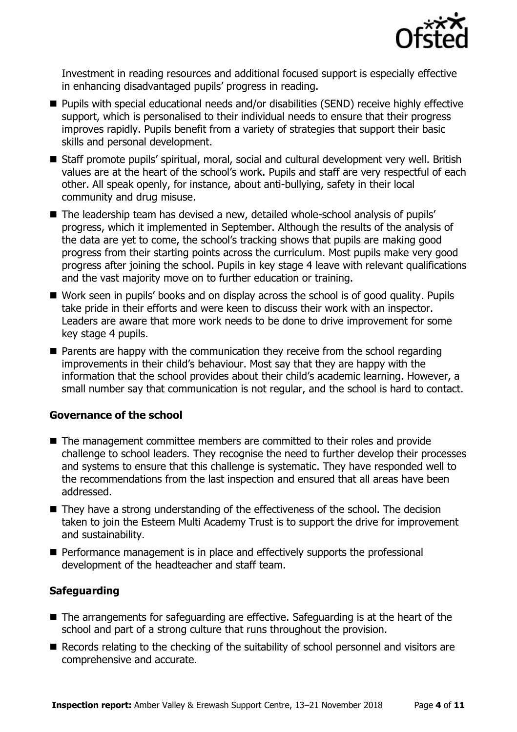

Investment in reading resources and additional focused support is especially effective in enhancing disadvantaged pupils' progress in reading.

- Pupils with special educational needs and/or disabilities (SEND) receive highly effective support, which is personalised to their individual needs to ensure that their progress improves rapidly. Pupils benefit from a variety of strategies that support their basic skills and personal development.
- Staff promote pupils' spiritual, moral, social and cultural development very well. British values are at the heart of the school's work. Pupils and staff are very respectful of each other. All speak openly, for instance, about anti-bullying, safety in their local community and drug misuse.
- The leadership team has devised a new, detailed whole-school analysis of pupils' progress, which it implemented in September. Although the results of the analysis of the data are yet to come, the school's tracking shows that pupils are making good progress from their starting points across the curriculum. Most pupils make very good progress after joining the school. Pupils in key stage 4 leave with relevant qualifications and the vast majority move on to further education or training.
- Work seen in pupils' books and on display across the school is of good quality. Pupils take pride in their efforts and were keen to discuss their work with an inspector. Leaders are aware that more work needs to be done to drive improvement for some key stage 4 pupils.
- **Parents are happy with the communication they receive from the school regarding** improvements in their child's behaviour. Most say that they are happy with the information that the school provides about their child's academic learning. However, a small number say that communication is not regular, and the school is hard to contact.

#### **Governance of the school**

- The management committee members are committed to their roles and provide challenge to school leaders. They recognise the need to further develop their processes and systems to ensure that this challenge is systematic. They have responded well to the recommendations from the last inspection and ensured that all areas have been addressed.
- They have a strong understanding of the effectiveness of the school. The decision taken to join the Esteem Multi Academy Trust is to support the drive for improvement and sustainability.
- **Performance management is in place and effectively supports the professional** development of the headteacher and staff team.

#### **Safeguarding**

- The arrangements for safeguarding are effective. Safeguarding is at the heart of the school and part of a strong culture that runs throughout the provision.
- Records relating to the checking of the suitability of school personnel and visitors are comprehensive and accurate.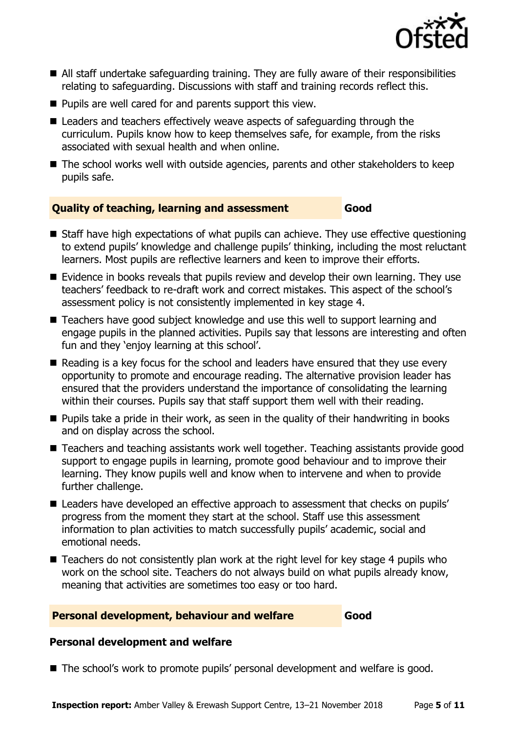

- All staff undertake safeguarding training. They are fully aware of their responsibilities relating to safeguarding. Discussions with staff and training records reflect this.
- $\blacksquare$  Pupils are well cared for and parents support this view.
- Leaders and teachers effectively weave aspects of safeguarding through the curriculum. Pupils know how to keep themselves safe, for example, from the risks associated with sexual health and when online.
- The school works well with outside agencies, parents and other stakeholders to keep pupils safe.

#### **Quality of teaching, learning and assessment Good**

- Staff have high expectations of what pupils can achieve. They use effective questioning to extend pupils' knowledge and challenge pupils' thinking, including the most reluctant learners. Most pupils are reflective learners and keen to improve their efforts.
- **Example 15 F** Evidence in books reveals that pupils review and develop their own learning. They use teachers' feedback to re-draft work and correct mistakes. This aspect of the school's assessment policy is not consistently implemented in key stage 4.
- Teachers have good subject knowledge and use this well to support learning and engage pupils in the planned activities. Pupils say that lessons are interesting and often fun and they 'enjoy learning at this school'.
- Reading is a key focus for the school and leaders have ensured that they use every opportunity to promote and encourage reading. The alternative provision leader has ensured that the providers understand the importance of consolidating the learning within their courses. Pupils say that staff support them well with their reading.
- $\blacksquare$  Pupils take a pride in their work, as seen in the quality of their handwriting in books and on display across the school.
- Teachers and teaching assistants work well together. Teaching assistants provide good support to engage pupils in learning, promote good behaviour and to improve their learning. They know pupils well and know when to intervene and when to provide further challenge.
- Leaders have developed an effective approach to assessment that checks on pupils' progress from the moment they start at the school. Staff use this assessment information to plan activities to match successfully pupils' academic, social and emotional needs.
- Teachers do not consistently plan work at the right level for key stage 4 pupils who work on the school site. Teachers do not always build on what pupils already know, meaning that activities are sometimes too easy or too hard.

#### **Personal development, behaviour and welfare Good**

#### **Personal development and welfare**

■ The school's work to promote pupils' personal development and welfare is good.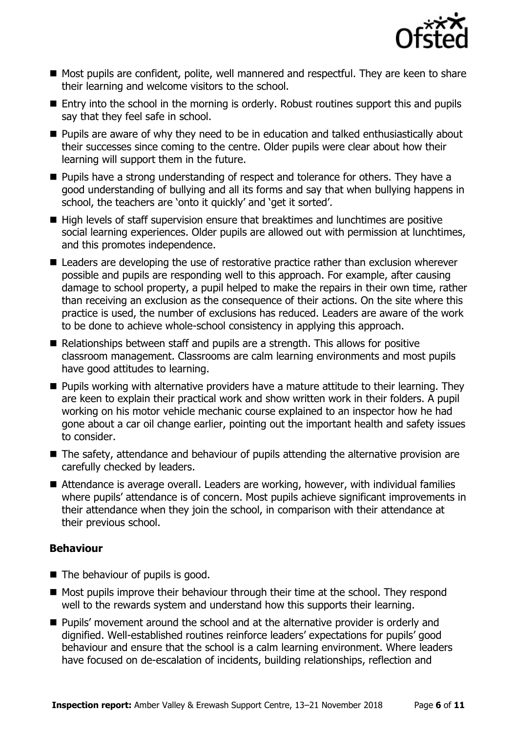

- Most pupils are confident, polite, well mannered and respectful. They are keen to share their learning and welcome visitors to the school.
- **Entry into the school in the morning is orderly. Robust routines support this and pupils** say that they feel safe in school.
- **Pupils are aware of why they need to be in education and talked enthusiastically about** their successes since coming to the centre. Older pupils were clear about how their learning will support them in the future.
- **Pupils have a strong understanding of respect and tolerance for others. They have a** good understanding of bullying and all its forms and say that when bullying happens in school, the teachers are 'onto it quickly' and 'get it sorted'.
- High levels of staff supervision ensure that breaktimes and lunchtimes are positive social learning experiences. Older pupils are allowed out with permission at lunchtimes, and this promotes independence.
- Leaders are developing the use of restorative practice rather than exclusion wherever possible and pupils are responding well to this approach. For example, after causing damage to school property, a pupil helped to make the repairs in their own time, rather than receiving an exclusion as the consequence of their actions. On the site where this practice is used, the number of exclusions has reduced. Leaders are aware of the work to be done to achieve whole-school consistency in applying this approach.
- Relationships between staff and pupils are a strength. This allows for positive classroom management. Classrooms are calm learning environments and most pupils have good attitudes to learning.
- **Pupils working with alternative providers have a mature attitude to their learning. They** are keen to explain their practical work and show written work in their folders. A pupil working on his motor vehicle mechanic course explained to an inspector how he had gone about a car oil change earlier, pointing out the important health and safety issues to consider.
- The safety, attendance and behaviour of pupils attending the alternative provision are carefully checked by leaders.
- Attendance is average overall. Leaders are working, however, with individual families where pupils' attendance is of concern. Most pupils achieve significant improvements in their attendance when they join the school, in comparison with their attendance at their previous school.

#### **Behaviour**

- The behaviour of pupils is good.
- $\blacksquare$  Most pupils improve their behaviour through their time at the school. They respond well to the rewards system and understand how this supports their learning.
- **Pupils' movement around the school and at the alternative provider is orderly and** dignified. Well-established routines reinforce leaders' expectations for pupils' good behaviour and ensure that the school is a calm learning environment. Where leaders have focused on de-escalation of incidents, building relationships, reflection and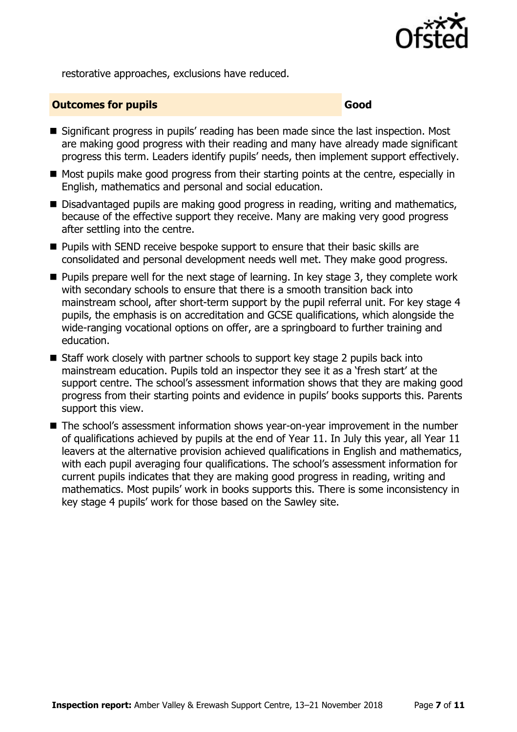

restorative approaches, exclusions have reduced.

#### **Outcomes for pupils Good Good**

- Significant progress in pupils' reading has been made since the last inspection. Most are making good progress with their reading and many have already made significant progress this term. Leaders identify pupils' needs, then implement support effectively.
- $\blacksquare$  Most pupils make good progress from their starting points at the centre, especially in English, mathematics and personal and social education.
- Disadvantaged pupils are making good progress in reading, writing and mathematics, because of the effective support they receive. Many are making very good progress after settling into the centre.
- **Pupils with SEND receive bespoke support to ensure that their basic skills are** consolidated and personal development needs well met. They make good progress.
- $\blacksquare$  Pupils prepare well for the next stage of learning. In key stage 3, they complete work with secondary schools to ensure that there is a smooth transition back into mainstream school, after short-term support by the pupil referral unit. For key stage 4 pupils, the emphasis is on accreditation and GCSE qualifications, which alongside the wide-ranging vocational options on offer, are a springboard to further training and education.
- Staff work closely with partner schools to support key stage 2 pupils back into mainstream education. Pupils told an inspector they see it as a 'fresh start' at the support centre. The school's assessment information shows that they are making good progress from their starting points and evidence in pupils' books supports this. Parents support this view.
- The school's assessment information shows year-on-year improvement in the number of qualifications achieved by pupils at the end of Year 11. In July this year, all Year 11 leavers at the alternative provision achieved qualifications in English and mathematics, with each pupil averaging four qualifications. The school's assessment information for current pupils indicates that they are making good progress in reading, writing and mathematics. Most pupils' work in books supports this. There is some inconsistency in key stage 4 pupils' work for those based on the Sawley site.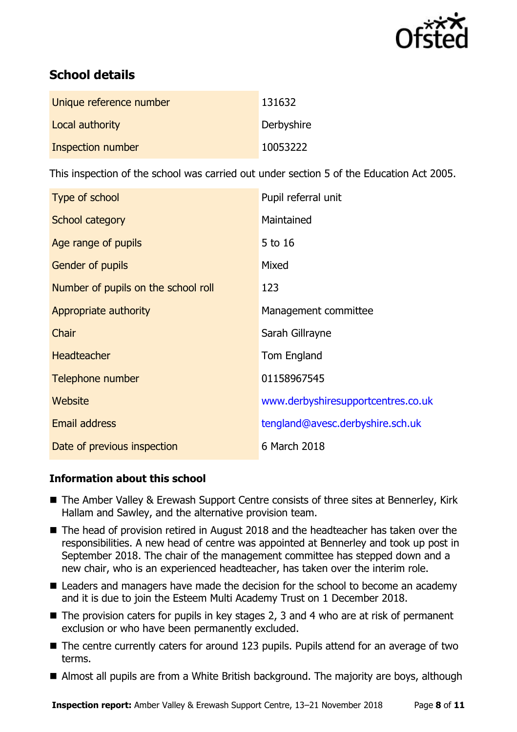

# **School details**

| Unique reference number | 131632     |
|-------------------------|------------|
| Local authority         | Derbyshire |
| Inspection number       | 10053222   |

This inspection of the school was carried out under section 5 of the Education Act 2005.

| Type of school                      | Pupil referral unit                |
|-------------------------------------|------------------------------------|
| School category                     | Maintained                         |
| Age range of pupils                 | 5 to 16                            |
| Gender of pupils                    | Mixed                              |
| Number of pupils on the school roll | 123                                |
| Appropriate authority               | Management committee               |
| Chair                               | Sarah Gillrayne                    |
| <b>Headteacher</b>                  | Tom England                        |
| Telephone number                    | 01158967545                        |
| <b>Website</b>                      | www.derbyshiresupportcentres.co.uk |
| Email address                       | tengland@avesc.derbyshire.sch.uk   |
| Date of previous inspection         | 6 March 2018                       |

#### **Information about this school**

- The Amber Valley & Erewash Support Centre consists of three sites at Bennerley, Kirk Hallam and Sawley, and the alternative provision team.
- The head of provision retired in August 2018 and the headteacher has taken over the responsibilities. A new head of centre was appointed at Bennerley and took up post in September 2018. The chair of the management committee has stepped down and a new chair, who is an experienced headteacher, has taken over the interim role.
- Leaders and managers have made the decision for the school to become an academy and it is due to join the Esteem Multi Academy Trust on 1 December 2018.
- $\blacksquare$  The provision caters for pupils in key stages 2, 3 and 4 who are at risk of permanent exclusion or who have been permanently excluded.
- The centre currently caters for around 123 pupils. Pupils attend for an average of two terms.
- Almost all pupils are from a White British background. The majority are boys, although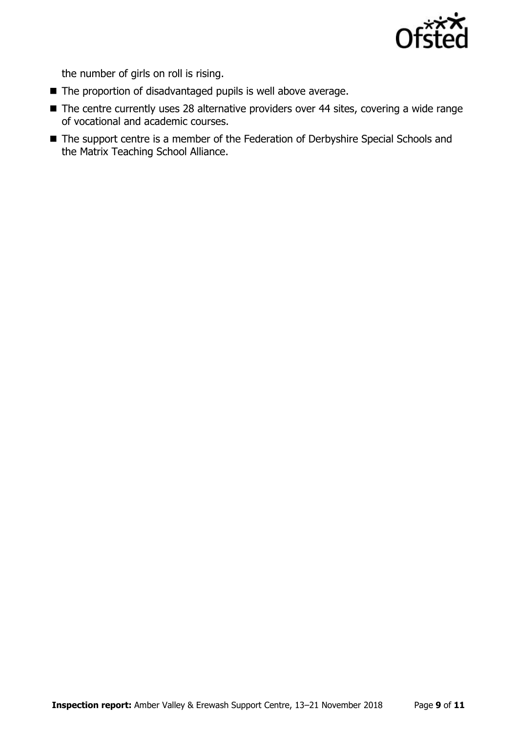

the number of girls on roll is rising.

- The proportion of disadvantaged pupils is well above average.
- The centre currently uses 28 alternative providers over 44 sites, covering a wide range of vocational and academic courses.
- The support centre is a member of the Federation of Derbyshire Special Schools and the Matrix Teaching School Alliance.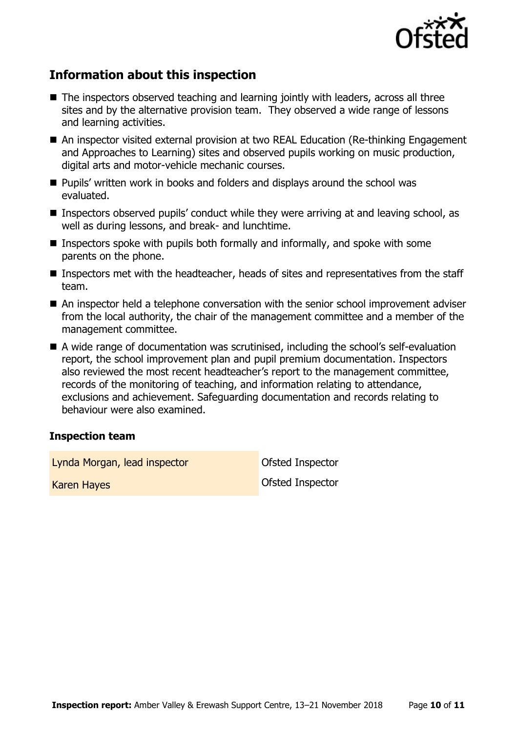

# **Information about this inspection**

- The inspectors observed teaching and learning jointly with leaders, across all three sites and by the alternative provision team. They observed a wide range of lessons and learning activities.
- An inspector visited external provision at two REAL Education (Re-thinking Engagement and Approaches to Learning) sites and observed pupils working on music production, digital arts and motor-vehicle mechanic courses.
- Pupils' written work in books and folders and displays around the school was evaluated.
- Inspectors observed pupils' conduct while they were arriving at and leaving school, as well as during lessons, and break- and lunchtime.
- **Inspectors spoke with pupils both formally and informally, and spoke with some** parents on the phone.
- Inspectors met with the headteacher, heads of sites and representatives from the staff team.
- An inspector held a telephone conversation with the senior school improvement adviser from the local authority, the chair of the management committee and a member of the management committee.
- A wide range of documentation was scrutinised, including the school's self-evaluation report, the school improvement plan and pupil premium documentation. Inspectors also reviewed the most recent headteacher's report to the management committee, records of the monitoring of teaching, and information relating to attendance, exclusions and achievement. Safeguarding documentation and records relating to behaviour were also examined.

#### **Inspection team**

Lynda Morgan, lead inspector **Canadia** Ofsted Inspector

Karen Hayes **National Accord Contract Contract Contract Contract Contract Contract Contract Contract Contract Contract Contract Contract Contract Contract Contract Contract Contract Contract Contract Contract Contract Cont**